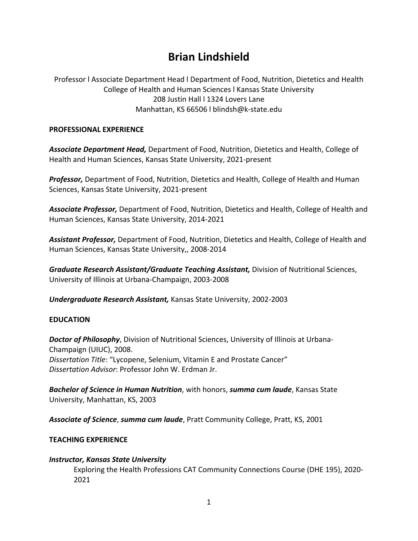# **Brian Lindshield**

Professor l Associate Department Head l Department of Food, Nutrition, Dietetics and Health College of Health and Human Sciences l Kansas State University 208 Justin Hall l 1324 Lovers Lane Manhattan, KS 66506 l blindsh@k-state.edu

#### **PROFESSIONAL EXPERIENCE**

*Associate Department Head,* Department of Food, Nutrition, Dietetics and Health, College of Health and Human Sciences, Kansas State University, 2021-present

*Professor,* Department of Food, Nutrition, Dietetics and Health, College of Health and Human Sciences, Kansas State University, 2021-present

*Associate Professor,* Department of Food, Nutrition, Dietetics and Health, College of Health and Human Sciences, Kansas State University, 2014-2021

*Assistant Professor,* Department of Food, Nutrition, Dietetics and Health, College of Health and Human Sciences, Kansas State University,, 2008-2014

*Graduate Research Assistant/Graduate Teaching Assistant,* Division of Nutritional Sciences, University of Illinois at Urbana-Champaign, 2003-2008

*Undergraduate Research Assistant,* Kansas State University, 2002-2003

## **EDUCATION**

*Doctor of Philosophy*, Division of Nutritional Sciences, University of Illinois at Urbana-Champaign (UIUC), 2008. *Dissertation Title*: "Lycopene, Selenium, Vitamin E and Prostate Cancer" *Dissertation Advisor*: Professor John W. Erdman Jr.

*Bachelor of Science in Human Nutrition*, with honors, *summa cum laude*, Kansas State University, Manhattan, KS, 2003

*Associate of Science*, *summa cum laude*, Pratt Community College, Pratt, KS, 2001

## **TEACHING EXPERIENCE**

## *Instructor, Kansas State University*

Exploring the Health Professions CAT Community Connections Course (DHE 195), 2020- 2021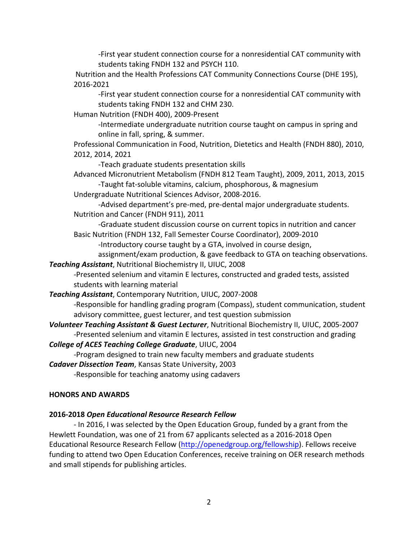-First year student connection course for a nonresidential CAT community with students taking FNDH 132 and PSYCH 110.

Nutrition and the Health Professions CAT Community Connections Course (DHE 195), 2016-2021

-First year student connection course for a nonresidential CAT community with students taking FNDH 132 and CHM 230.

Human Nutrition (FNDH 400), 2009-Present

-Intermediate undergraduate nutrition course taught on campus in spring and online in fall, spring, & summer.

Professional Communication in Food, Nutrition, Dietetics and Health (FNDH 880), 2010, 2012, 2014, 2021

-Teach graduate students presentation skills

Advanced Micronutrient Metabolism (FNDH 812 Team Taught), 2009, 2011, 2013, 2015 -Taught fat-soluble vitamins, calcium, phosphorous, & magnesium

Undergraduate Nutritional Sciences Advisor, 2008-2016.

-Advised department's pre-med, pre-dental major undergraduate students. Nutrition and Cancer (FNDH 911), 2011

-Graduate student discussion course on current topics in nutrition and cancer Basic Nutrition (FNDH 132, Fall Semester Course Coordinator), 2009-2010

-Introductory course taught by a GTA, involved in course design,

assignment/exam production, & gave feedback to GTA on teaching observations.

*Teaching Assistant*, Nutritional Biochemistry II, UIUC, 2008

-Presented selenium and vitamin E lectures, constructed and graded tests, assisted students with learning material

## *Teaching Assistant*, Contemporary Nutrition, UIUC, 2007-2008

-Responsible for handling grading program (Compass), student communication, student advisory committee, guest lecturer, and test question submission

*Volunteer Teaching Assistant & Guest Lecturer*, Nutritional Biochemistry II, UIUC, 2005-2007 -Presented selenium and vitamin E lectures, assisted in test construction and grading

## *College of ACES Teaching College Graduate*, UIUC, 2004

-Program designed to train new faculty members and graduate students

*Cadaver Dissection Team*, Kansas State University, 2003

-Responsible for teaching anatomy using cadavers

#### **HONORS AND AWARDS**

## **2016-2018** *Open Educational Resource Research Fellow*

- In 2016, I was selected by the Open Education Group, funded by a grant from the Hewlett Foundation, was one of 21 from 67 applicants selected as a 2016-2018 Open Educational Resource Research Fellow [\(http://openedgroup.org/fellowship\)](http://openedgroup.org/fellowship). Fellows receive funding to attend two Open Education Conferences, receive training on OER research methods and small stipends for publishing articles.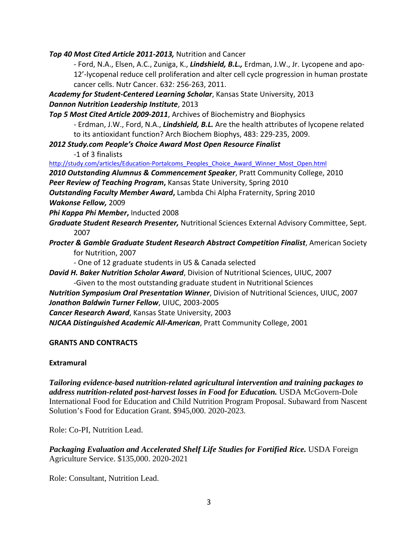*Top 40 Most Cited Article 2011-2013,* Nutrition and Cancer

- Ford, N.A., Elsen, A.C., Zuniga, K., *Lindshield, B.L.,* Erdman, J.W., Jr. Lycopene and apo-12'-lycopenal reduce cell proliferation and alter cell cycle progression in human prostate cancer cells. Nutr Cancer. 632: 256-263, 2011.

*Academy for Student-Centered Learning Scholar*, Kansas State University, 2013

## *Dannon Nutrition Leadership Institute*, 2013

*Top 5 Most Cited Article 2009-2011*, Archives of Biochemistry and Biophysics

- Erdman, J.W., Ford, N.A., *Lindshield, B.L.* Are the health attributes of lycopene related to its antioxidant function? Arch Biochem Biophys, 483: 229-235, 2009.

*2012 Study.com People's Choice Award Most Open Resource Finalist*

-1 of 3 finalists

[http://study.com/articles/Education-Portalcoms\\_Peoples\\_Choice\\_Award\\_Winner\\_Most\\_Open.html](http://study.com/articles/Education-Portalcoms_Peoples_Choice_Award_Winner_Most_Open.html)

*2010 Outstanding Alumnus & Commencement Speaker*, Pratt Community College, 2010

*Peer Review of Teaching Program***,** Kansas State University, Spring 2010

*Outstanding Faculty Member Award***,** Lambda Chi Alpha Fraternity, Spring 2010 *Wakonse Fellow,* 2009

*Phi Kappa Phi Member***,** Inducted 2008

*Graduate Student Research Presenter,* Nutritional Sciences External Advisory Committee, Sept. 2007

*Procter & Gamble Graduate Student Research Abstract Competition Finalist*, American Society for Nutrition, 2007

- One of 12 graduate students in US & Canada selected

*David H. Baker Nutrition Scholar Award*, Division of Nutritional Sciences, UIUC, 2007

-Given to the most outstanding graduate student in Nutritional Sciences

*Nutrition Symposium Oral Presentation Winner*, Division of Nutritional Sciences, UIUC, 2007 *Jonathon Baldwin Turner Fellow*, UIUC, 2003-2005

*Cancer Research Award*, Kansas State University, 2003

*NJCAA Distinguished Academic All-American*, Pratt Community College, 2001

## **GRANTS AND CONTRACTS**

## **Extramural**

*Tailoring evidence-based nutrition-related agricultural intervention and training packages to address nutrition-related post-harvest losses in Food for Education.* USDA McGovern-Dole International Food for Education and Child Nutrition Program Proposal. Subaward from Nascent Solution's Food for Education Grant. \$945,000. 2020-2023.

Role: Co-PI, Nutrition Lead.

*Packaging Evaluation and Accelerated Shelf Life Studies for Fortified Rice.* USDA Foreign Agriculture Service. \$135,000. 2020-2021

Role: Consultant, Nutrition Lead.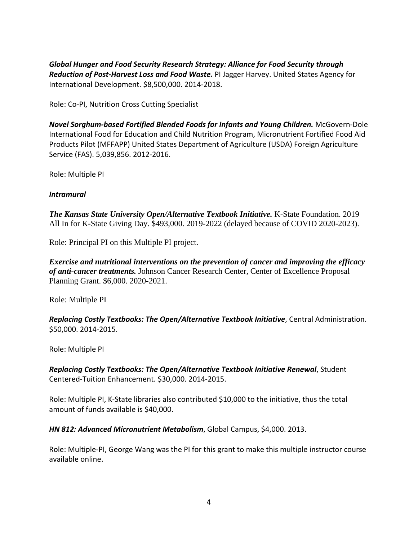*Global Hunger and Food Security Research Strategy: Alliance for Food Security through Reduction of Post-Harvest Loss and Food Waste.* PI Jagger Harvey. United States Agency for International Development. \$8,500,000. 2014-2018.

Role: Co-PI, Nutrition Cross Cutting Specialist

*Novel Sorghum-based Fortified Blended Foods for Infants and Young Children.* McGovern-Dole International Food for Education and Child Nutrition Program, Micronutrient Fortified Food Aid Products Pilot (MFFAPP) United States Department of Agriculture (USDA) Foreign Agriculture Service (FAS). 5,039,856. 2012-2016.

Role: Multiple PI

## *Intramural*

*The Kansas State University Open/Alternative Textbook Initiative.* K-State Foundation. 2019 All In for K-State Giving Day. \$493,000. 2019-2022 (delayed because of COVID 2020-2023).

Role: Principal PI on this Multiple PI project.

*Exercise and nutritional interventions on the prevention of cancer and improving the efficacy of anti-cancer treatments.* Johnson Cancer Research Center, Center of Excellence Proposal Planning Grant. \$6,000. 2020-2021.

Role: Multiple PI

*Replacing Costly Textbooks: The Open/Alternative Textbook Initiative*, Central Administration. \$50,000. 2014-2015.

Role: Multiple PI

*Replacing Costly Textbooks: The Open/Alternative Textbook Initiative Renewal*, Student Centered-Tuition Enhancement. \$30,000. 2014-2015.

Role: Multiple PI, K-State libraries also contributed \$10,000 to the initiative, thus the total amount of funds available is \$40,000.

*HN 812: Advanced Micronutrient Metabolism*, Global Campus, \$4,000. 2013.

Role: Multiple-PI, George Wang was the PI for this grant to make this multiple instructor course available online.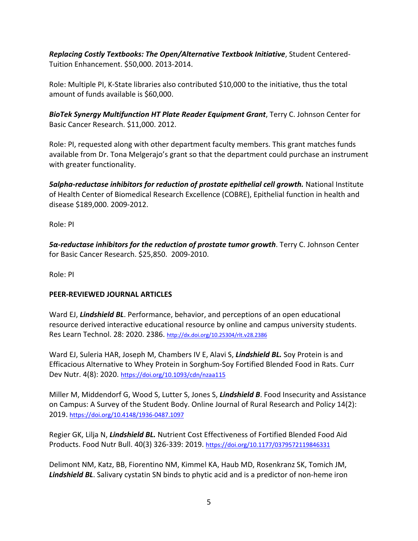*Replacing Costly Textbooks: The Open/Alternative Textbook Initiative*, Student Centered-Tuition Enhancement. \$50,000. 2013-2014.

Role: Multiple PI, K-State libraries also contributed \$10,000 to the initiative, thus the total amount of funds available is \$60,000.

*BioTek Synergy Multifunction HT Plate Reader Equipment Grant*, Terry C. Johnson Center for Basic Cancer Research. \$11,000. 2012.

Role: PI, requested along with other department faculty members. This grant matches funds available from Dr. Tona Melgerajo's grant so that the department could purchase an instrument with greater functionality.

*5alpha-reductase inhibitors for reduction of prostate epithelial cell growth.* National Institute of Health Center of Biomedical Research Excellence (COBRE), Epithelial function in health and disease \$189,000. 2009-2012.

Role: PI

*5α-reductase inhibitors for the reduction of prostate tumor growth*. Terry C. Johnson Center for Basic Cancer Research. \$25,850. 2009-2010.

Role: PI

# **PEER-REVIEWED JOURNAL ARTICLES**

Ward EJ, *Lindshield BL*. Performance, behavior, and perceptions of an open educational resource derived interactive educational resource by online and campus university students. Res Learn Technol. 28: 2020. 2386.<http://dx.doi.org/10.25304/rlt.v28.2386>

Ward EJ, Suleria HAR, Joseph M, Chambers IV E, Alavi S, *Lindshield BL.* Soy Protein is and Efficacious Alternative to Whey Protein in Sorghum-Soy Fortified Blended Food in Rats. Curr Dev Nutr. 4(8): 2020.<https://doi.org/10.1093/cdn/nzaa115>

Miller M, Middendorf G, Wood S, Lutter S, Jones S, *Lindshield B*. Food Insecurity and Assistance on Campus: A Survey of the Student Body. Online Journal of Rural Research and Polic*y* 14(2): 2019. <https://doi.org/10.4148/1936-0487.1097>

Regier GK, Lilja N, *Lindshield BL.* Nutrient Cost Effectiveness of Fortified Blended Food Aid Products. Food Nutr Bull. 40(3) 326-339: 2019. [https://doi.org/10.1177/0379572119846331](https://doi.org/10.1177%2F0379572119846331)

Delimont NM, Katz, BB, Fiorentino NM, Kimmel KA, Haub MD, Rosenkranz SK, Tomich JM, *Lindshield BL*. Salivary cystatin SN binds to phytic acid and is a predictor of non-heme iron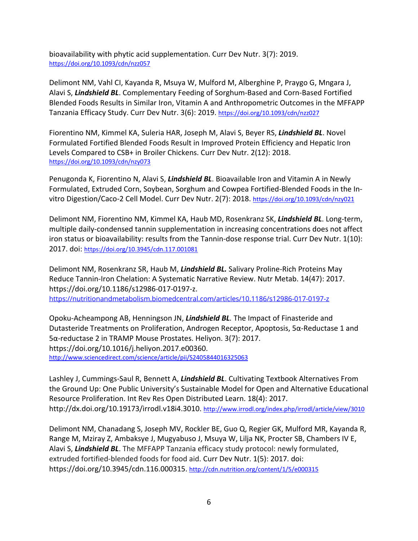bioavailability with phytic acid supplementation. Curr Dev Nutr. 3(7): 2019. <https://doi.org/10.1093/cdn/nzz057>

Delimont NM, Vahl CI, Kayanda R, Msuya W, Mulford M, Alberghine P, Praygo G, Mngara J, Alavi S, *Lindshield BL*. Complementary Feeding of Sorghum-Based and Corn-Based Fortified Blended Foods Results in Similar Iron, Vitamin A and Anthropometric Outcomes in the MFFAPP Tanzania Efficacy Study. Curr Dev Nutr. 3(6): 2019. <https://doi.org/10.1093/cdn/nzz027>

Fiorentino NM, Kimmel KA, Suleria HAR, Joseph M, Alavi S, Beyer RS, *Lindshield BL*. Novel Formulated Fortified Blended Foods Result in Improved Protein Efficiency and Hepatic Iron Levels Compared to CSB+ in Broiler Chickens. Curr Dev Nutr. 2(12): 2018. <https://doi.org/10.1093/cdn/nzy073>

Penugonda K, Fiorentino N, Alavi S, *Lindshield BL*. Bioavailable Iron and Vitamin A in Newly Formulated, Extruded Corn, Soybean, Sorghum and Cowpea Fortified-Blended Foods in the Invitro Digestion/Caco-2 Cell Model. Curr Dev Nutr. 2(7): 2018. <https://doi.org/10.1093/cdn/nzy021>

Delimont NM, Fiorentino NM, Kimmel KA, Haub MD, Rosenkranz SK, *Lindshield BL*. Long-term, multiple daily-condensed tannin supplementation in increasing concentrations does not affect iron status or bioavailability: results from the Tannin-dose response trial. Curr Dev Nutr. 1(10): 2017. doi:<https://doi.org/10.3945/cdn.117.001081>

Delimont NM, Rosenkranz SR, Haub M, *Lindshield BL.* Salivary Proline-Rich Proteins May Reduce Tannin-Iron Chelation: A Systematic Narrative Review. Nutr Metab. 14(47): 2017. https://doi.org/10.1186/s12986-017-0197-z. <https://nutritionandmetabolism.biomedcentral.com/articles/10.1186/s12986-017-0197-z>

Opoku-Acheampong AB, Henningson JN, *Lindshield BL.* The Impact of Finasteride and Dutasteride Treatments on Proliferation, Androgen Receptor, Apoptosis, 5α-Reductase 1 and 5α-reductase 2 in TRAMP Mouse Prostates. Heliyon. 3(7): 2017. [https://doi.org/10.1016/j.heliyon.2017.e00360.](https://doi.org/10.1016/j.heliyon.2017.e00360) <http://www.sciencedirect.com/science/article/pii/S2405844016325063>

Lashley J, Cummings-Saul R, Bennett A, *Lindshield BL*. Cultivating Textbook Alternatives From the Ground Up: One Public University's Sustainable Model for Open and Alternative Educational Resource Proliferation. Int Rev Res Open Distributed Learn. 18(4): 2017. [http://dx.doi.org/10.19173/irrodl.v18i4.3010.](http://dx.doi.org/10.19173/irrodl.v18i4.3010)<http://www.irrodl.org/index.php/irrodl/article/view/3010>

Delimont NM, Chanadang S, Joseph MV, Rockler BE, Guo Q, Regier GK, Mulford MR, Kayanda R, Range M, Mziray Z, Ambaksye J, Mugyabuso J, Msuya W, Lilja NK, Procter SB, Chambers IV E, Alavi S, *Lindshield BL*. The MFFAPP Tanzania efficacy study protocol: newly formulated, extruded fortified-blended foods for food aid. Curr Dev Nutr. 1(5): 2017. doi: https://doi.org/10.3945/cdn.116.000315. <http://cdn.nutrition.org/content/1/5/e000315>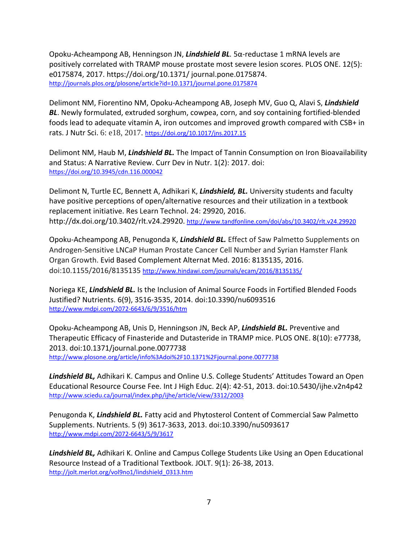Opoku-Acheampong AB, Henningson JN, *Lindshield BL.* 5α-reductase 1 mRNA levels are positively correlated with TRAMP mouse prostate most severe lesion scores. PLOS ONE. 12(5): e0175874, 2017. https://doi.org/10.1371/ journal.pone.0175874. <http://journals.plos.org/plosone/article?id=10.1371/journal.pone.0175874>

Delimont NM, Fiorentino NM, Opoku-Acheampong AB, Joseph MV, Guo Q, Alavi S, *Lindshield BL*. Newly formulated, extruded sorghum, cowpea, corn, and soy containing fortified-blended foods lead to adequate vitamin A, iron outcomes and improved growth compared with CSB+ in rats. J Nutr Sci. 6: e18, 2017. <https://doi.org/10.1017/jns.2017.15>

Delimont NM, Haub M, *Lindshield BL.* The Impact of Tannin Consumption on Iron Bioavailability and Status: A Narrative Review. Curr Dev in Nutr. 1(2): 2017. doi: <https://doi.org/10.3945/cdn.116.000042>

Delimont N, Turtle EC, Bennett A, Adhikari K, Lindshield, BL. University students and faculty have positive perceptions of open/alternative resources and their utilization in a textbook replacement initiative. Res Learn Technol. 24: 29920, 2016. http://dx.doi.org/10.3402/rlt.v24.29920.<http://www.tandfonline.com/doi/abs/10.3402/rlt.v24.29920>

Opoku-Acheampong AB, Penugonda K, *Lindshield BL.* Effect of Saw Palmetto Supplements on Androgen-Sensitive LNCaP Human Prostate Cancer Cell Number and Syrian Hamster Flank Organ Growth. Evid Based Complement Alternat Med. 2016: 8135135, 2016. doi:10.1155/2016/8135135<http://www.hindawi.com/journals/ecam/2016/8135135/>

Noriega KE, *Lindshield BL.* Is the Inclusion of Animal Source Foods in Fortified Blended Foods Justified? Nutrients. 6(9), 3516-3535, 2014. doi:10.3390/nu6093516 <http://www.mdpi.com/2072-6643/6/9/3516/htm>

Opoku-Acheampong AB, Unis D, Henningson JN, Beck AP, *Lindshield BL.* Preventive and Therapeutic Efficacy of Finasteride and Dutasteride in TRAMP mice. PLOS ONE. 8(10): e77738, 2013. doi:10.1371/journal.pone.0077738 <http://www.plosone.org/article/info%3Adoi%2F10.1371%2Fjournal.pone.0077738>

*Lindshield BL,* Adhikari K. Campus and Online U.S. College Students' Attitudes Toward an Open Educational Resource Course Fee. Int J High Educ. 2(4): 42-51, 2013. doi:10.5430/ijhe.v2n4p42 <http://www.sciedu.ca/journal/index.php/ijhe/article/view/3312/2003>

Penugonda K, *Lindshield BL.* Fatty acid and Phytosterol Content of Commercial Saw Palmetto Supplements. Nutrients. 5 (9) 3617-3633, 2013. doi:10.3390/nu5093617 <http://www.mdpi.com/2072-6643/5/9/3617>

*Lindshield BL,* Adhikari K. Online and Campus College Students Like Using an Open Educational Resource Instead of a Traditional Textbook. JOLT. 9(1): 26-38, 2013. [http://jolt.merlot.org/vol9no1/lindshield\\_0313.htm](http://jolt.merlot.org/vol9no1/lindshield_0313.htm)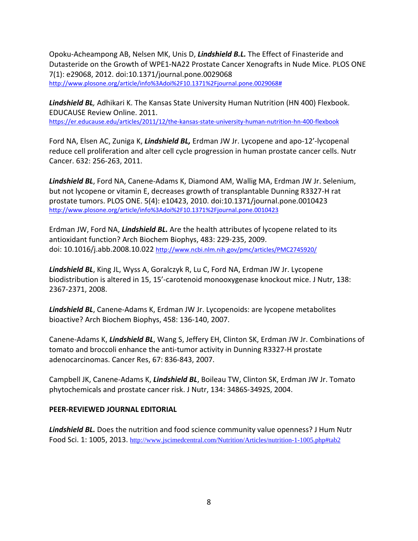Opoku-Acheampong AB, Nelsen MK, Unis D, *Lindshield B.L.* The Effect of Finasteride and Dutasteride on the Growth of WPE1-NA22 Prostate Cancer Xenografts in Nude Mice. PLOS ONE 7(1): e29068, 2012. doi:10.1371/journal.pone.0029068 [http://www.plosone.org/article/info%3Adoi%2F10.1371%2Fjournal.pone.0029068#](http://www.plosone.org/article/info%3Adoi%2F10.1371%2Fjournal.pone.0029068)

*Lindshield BL,* Adhikari K. The Kansas State University Human Nutrition (HN 400) Flexbook. EDUCAUSE Review Online. 2011. <https://er.educause.edu/articles/2011/12/the-kansas-state-university-human-nutrition-hn-400-flexbook>

Ford NA, Elsen AC, Zuniga K, *Lindshield BL,* Erdman JW Jr. Lycopene and apo-12'-lycopenal reduce cell proliferation and alter cell cycle progression in human prostate cancer cells. Nutr Cancer. 632: 256-263, 2011.

*Lindshield BL*, Ford NA, Canene-Adams K, Diamond AM, Wallig MA, Erdman JW Jr. Selenium, but not lycopene or vitamin E, decreases growth of transplantable Dunning R3327-H rat prostate tumors. PLOS ONE. 5(4): e10423, 2010. doi:10.1371/journal.pone.0010423 <http://www.plosone.org/article/info%3Adoi%2F10.1371%2Fjournal.pone.0010423>

Erdman JW, Ford NA, *Lindshield BL.* Are the health attributes of lycopene related to its antioxidant function? Arch Biochem Biophys, 483: 229-235, 2009. doi: 10.1016/j.abb.2008.10.022<http://www.ncbi.nlm.nih.gov/pmc/articles/PMC2745920/>

*Lindshield BL*, King JL, Wyss A, Goralczyk R, Lu C, Ford NA, Erdman JW Jr. Lycopene biodistribution is altered in 15, 15'-carotenoid monooxygenase knockout mice. J Nutr, 138: 2367-2371, 2008.

*Lindshield BL*, Canene-Adams K, Erdman JW Jr. Lycopenoids: are lycopene metabolites bioactive? Arch Biochem Biophys, 458: 136-140, 2007.

Canene-Adams K, *Lindshield BL*, Wang S, Jeffery EH, Clinton SK, Erdman JW Jr. Combinations of tomato and broccoli enhance the anti-tumor activity in Dunning R3327-H prostate adenocarcinomas. Cancer Res, 67: 836-843, 2007.

Campbell JK, Canene-Adams K, *Lindshield BL*, Boileau TW, Clinton SK, Erdman JW Jr. Tomato phytochemicals and prostate cancer risk. J Nutr, 134: 3486S-3492S, 2004.

## **PEER-REVIEWED JOURNAL EDITORIAL**

*Lindshield BL.* Does the nutrition and food science community value openness? J Hum Nutr Food Sci. 1: 1005, 2013. [http://www.jscimedcentral.com/Nutrition/Articles/nutrition-1-1005.php#tab2](http://www.jscimedcentral.com/Nutrition/Articles/nutrition-1-1005.php)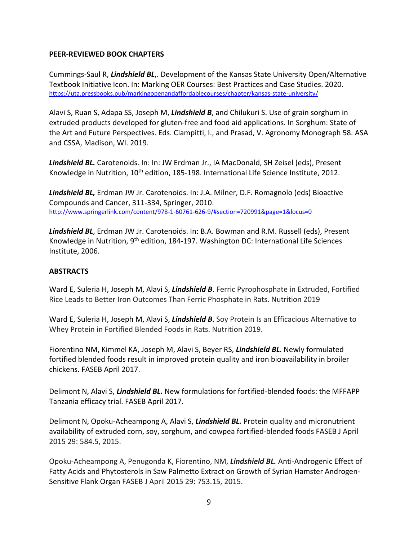## **PEER-REVIEWED BOOK CHAPTERS**

Cummings-Saul R, *Lindshield BL*,. Development of the Kansas State University Open/Alternative Textbook Initiative Icon. In: Marking OER Courses: Best Practices and Case Studies. 2020. <https://uta.pressbooks.pub/markingopenandaffordablecourses/chapter/kansas-state-university/>

Alavi S, Ruan S, Adapa SS, Joseph M, *Lindshield B*, and Chilukuri S. Use of grain sorghum in extruded products developed for gluten-free and food aid applications. In Sorghum: State of the Art and Future Perspectives. Eds. Ciampitti, I., and Prasad, V. Agronomy Monograph 58. ASA and CSSA, Madison, WI. 2019.

*Lindshield BL.* Carotenoids. In: In: JW Erdman Jr., IA MacDonald, SH Zeisel (eds), Present Knowledge in Nutrition, 10<sup>th</sup> edition, 185-198. International Life Science Institute, 2012.

*Lindshield BL,* Erdman JW Jr. Carotenoids. In: J.A. Milner, D.F. Romagnolo (eds) Bioactive Compounds and Cancer, 311-334, Springer, 2010. <http://www.springerlink.com/content/978-1-60761-626-9/#section=720991&page=1&locus=0>

*Lindshield BL*, Erdman JW Jr. Carotenoids. In: B.A. Bowman and R.M. Russell (eds), Present Knowledge in Nutrition, 9th edition, 184-197. Washington DC: International Life Sciences Institute, 2006.

#### **ABSTRACTS**

Ward E, Suleria H, Joseph M, Alavi S, *Lindshield B*. Ferric Pyrophosphate in Extruded, Fortified Rice Leads to Better Iron Outcomes Than Ferric Phosphate in Rats. Nutrition 2019

Ward E, Suleria H, Joseph M, Alavi S, *Lindshield B*. Soy Protein Is an Efficacious Alternative to Whey Protein in Fortified Blended Foods in Rats. Nutrition 2019.

Fiorentino NM, Kimmel KA, Joseph M, Alavi S, Beyer RS, *Lindshield BL*. Newly formulated fortified blended foods result in improved protein quality and iron bioavailability in broiler chickens. FASEB April 2017.

Delimont N, Alavi S, *Lindshield BL.* New formulations for fortified-blended foods: the MFFAPP Tanzania efficacy trial. FASEB April 2017.

Delimont N, Opoku-Acheampong A, Alavi S, *Lindshield BL.* Protein quality and micronutrient availability of extruded corn, soy, sorghum, and cowpea fortified-blended foods FASEB J April 2015 29: 584.5, 2015.

Opoku-Acheampong A, Penugonda K, Fiorentino, NM, *Lindshield BL.* Anti-Androgenic Effect of Fatty Acids and Phytosterols in Saw Palmetto Extract on Growth of Syrian Hamster Androgen-Sensitive Flank Organ FASEB J April 2015 29: 753.15, 2015.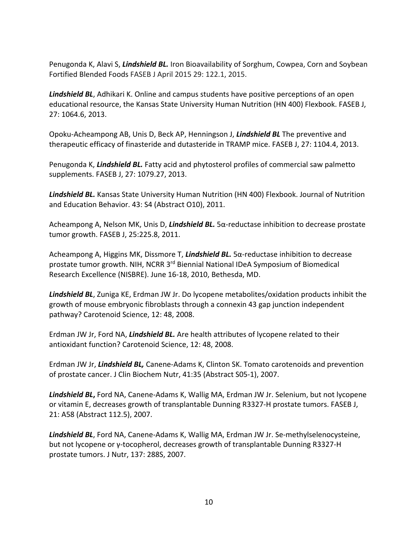Penugonda K, Alavi S, *Lindshield BL.* Iron Bioavailability of Sorghum, Cowpea, Corn and Soybean Fortified Blended Foods FASEB J April 2015 29: 122.1, 2015.

*Lindshield BL*, Adhikari K. Online and campus students have positive perceptions of an open educational resource, the Kansas State University Human Nutrition (HN 400) Flexbook. FASEB J, 27: 1064.6, 2013.

Opoku-Acheampong AB, Unis D, Beck AP, Henningson J, *Lindshield BL* The preventive and therapeutic efficacy of finasteride and dutasteride in TRAMP mice. FASEB J, 27: 1104.4, 2013.

Penugonda K, *Lindshield BL.* Fatty acid and phytosterol profiles of commercial saw palmetto supplements. FASEB J, 27: 1079.27, 2013.

*Lindshield BL.* Kansas State University Human Nutrition (HN 400) Flexbook. Journal of Nutrition and Education Behavior. 43: S4 (Abstract O10), 2011.

Acheampong A, Nelson MK, Unis D, *Lindshield BL.* 5α-reductase inhibition to decrease prostate tumor growth. FASEB J, 25:225.8, 2011.

Acheampong A, Higgins MK, Dissmore T, *Lindshield BL.* 5α-reductase inhibition to decrease prostate tumor growth. NIH, NCRR 3rd Biennial National IDeA Symposium of Biomedical Research Excellence (NISBRE). June 16-18, 2010, Bethesda, MD.

*Lindshield BL*, Zuniga KE, Erdman JW Jr. Do lycopene metabolites/oxidation products inhibit the growth of mouse embryonic fibroblasts through a connexin 43 gap junction independent pathway? Carotenoid Science, 12: 48, 2008.

Erdman JW Jr, Ford NA, *Lindshield BL.* Are health attributes of lycopene related to their antioxidant function? Carotenoid Science, 12: 48, 2008.

Erdman JW Jr, *Lindshield BL,* Canene-Adams K, Clinton SK. Tomato carotenoids and prevention of prostate cancer. J Clin Biochem Nutr, 41:35 (Abstract S05-1), 2007.

*Lindshield BL***,** Ford NA, Canene-Adams K, Wallig MA, Erdman JW Jr. Selenium, but not lycopene or vitamin E, decreases growth of transplantable Dunning R3327-H prostate tumors. FASEB J, 21: A58 (Abstract 112.5), 2007.

*Lindshield BL*, Ford NA, Canene-Adams K, Wallig MA, Erdman JW Jr. Se-methylselenocysteine, but not lycopene or γ-tocopherol, decreases growth of transplantable Dunning R3327-H prostate tumors. J Nutr, 137: 288S, 2007.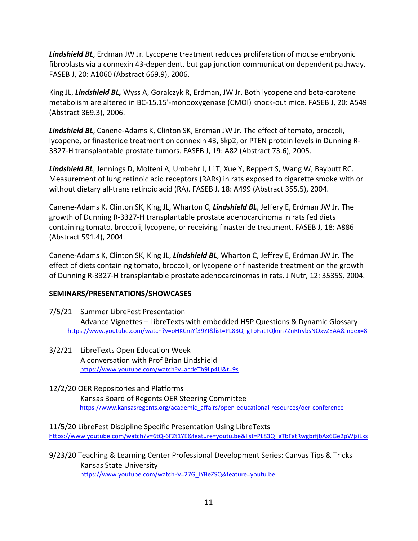*Lindshield BL*, Erdman JW Jr. Lycopene treatment reduces proliferation of mouse embryonic fibroblasts via a connexin 43-dependent, but gap junction communication dependent pathway. FASEB J, 20: A1060 (Abstract 669.9), 2006.

King JL, *Lindshield BL,* Wyss A, Goralczyk R, Erdman, JW Jr. Both lycopene and beta-carotene metabolism are altered in BC-15,15'-monooxygenase (CMOI) knock-out mice. FASEB J, 20: A549 (Abstract 369.3), 2006.

*Lindshield BL*, Canene-Adams K, Clinton SK, Erdman JW Jr. The effect of tomato, broccoli, lycopene, or finasteride treatment on connexin 43, Skp2, or PTEN protein levels in Dunning R-3327-H transplantable prostate tumors. FASEB J, 19: A82 (Abstract 73.6), 2005.

*Lindshield BL*, Jennings D, Molteni A, Umbehr J, Li T, Xue Y, Reppert S, Wang W, Baybutt RC. Measurement of lung retinoic acid receptors (RARs) in rats exposed to cigarette smoke with or without dietary all-trans retinoic acid (RA). FASEB J, 18: A499 (Abstract 355.5), 2004.

Canene-Adams K, Clinton SK, King JL, Wharton C, *Lindshield BL*, Jeffery E, Erdman JW Jr. The growth of Dunning R-3327-H transplantable prostate adenocarcinoma in rats fed diets containing tomato, broccoli, lycopene, or receiving finasteride treatment. FASEB J, 18: A886 (Abstract 591.4), 2004.

Canene-Adams K, Clinton SK, King JL, *Lindshield BL*, Wharton C, Jeffrey E, Erdman JW Jr. The effect of diets containing tomato, broccoli, or lycopene or finasteride treatment on the growth of Dunning R-3327-H transplantable prostate adenocarcinomas in rats. J Nutr, 12: 3535S, 2004.

## **SEMINARS/PRESENTATIONS/SHOWCASES**

- 7/5/21 Summer LibreFest Presentation Advance Vignettes – LibreTexts with embedded H5P Questions & Dynamic Glossary [https://www.youtube.com/watch?v=oHKCmYf39YI&list=PL83Q\\_gTbFatTQknn7ZnRIrvbsNOxvZEAA&index=8](https://www.youtube.com/watch?v=oHKCmYf39YI&list=PL83Q_gTbFatTQknn7ZnRIrvbsNOxvZEAA&index=8)
- 3/2/21 LibreTexts Open Education Week A conversation with Prof Brian Lindshield <https://www.youtube.com/watch?v=acdeTh9Lp4U&t=9s>

12/2/20 OER Repositories and Platforms Kansas Board of Regents OER Steering Committee [https://www.kansasregents.org/academic\\_affairs/open-educational-resources/oer-conference](https://www.kansasregents.org/academic_affairs/open-educational-resources/oer-conference)

11/5/20 LibreFest Discipline Specific Presentation Using LibreTexts [https://www.youtube.com/watch?v=6tQ-6FZt1YE&feature=youtu.be&list=PL83Q\\_gTbFatRwgbrfjbAx6Ge2pWjziLxs](https://www.youtube.com/watch?v=6tQ-6FZt1YE&feature=youtu.be&list=PL83Q_gTbFatRwgbrfjbAx6Ge2pWjziLxs)

9/23/20 Teaching & Learning Center Professional Development Series: Canvas Tips & Tricks Kansas State University [https://www.youtube.com/watch?v=27G\\_IYBeZSQ&feature=youtu.be](https://www.youtube.com/watch?v=27G_IYBeZSQ&feature=youtu.be)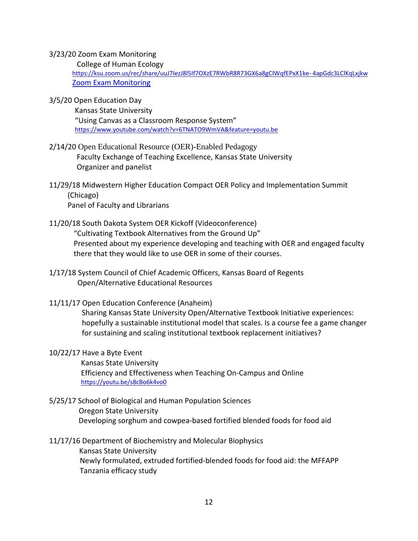#### 3/23/20 Zoom Exam Monitoring

College of Human Ecology

 [https://ksu.zoom.us/rec/share/uuJ7IezJ8l5If7OXzE7RWbR8R73GX6a8gCIWqfEPxX1ke-](https://ksu.zoom.us/rec/share/uuJ7IezJ8l5If7OXzE7RWbR8R73GX6a8gCIWqfEPxX1ke-%204apGdc3LClKqLxjkw) 4apGdc3LClKqLxjkw  [Zoom](https://ksuemailprod-my.sharepoint.com/:f:/g/personal/blindsh_ksu_edu/Ei3br6lhMz5FrZjdKm-HgoIBNIGDNWAkQ7CcBTuLpjtS0A?e=t7gAJW) [Exam Monitoring](https://ksuemailprod-my.sharepoint.com/:f:/g/personal/blindsh_ksu_edu/Ei3br6lhMz5FrZjdKm-HgoIBNIGDNWAkQ7CcBTuLpjtS0A?e=t7gAJW)

3/5/20 Open Education Day

 Kansas State University "Using Canvas as a Classroom Response System" <https://www.youtube.com/watch?v=6TNATO9WmVA&feature=youtu.be>

- 2/14/20 Open Educational Resource (OER)-Enabled Pedagogy Faculty Exchange of Teaching Excellence, Kansas State University Organizer and panelist
- 11/29/18 Midwestern Higher Education Compact OER Policy and Implementation Summit (Chicago) Panel of Faculty and Librarians
- 11/20/18 South Dakota System OER Kickoff (Videoconference) "Cultivating Textbook Alternatives from the Ground Up" Presented about my experience developing and teaching with OER and engaged faculty there that they would like to use OER in some of their courses.
- 1/17/18 System Council of Chief Academic Officers, Kansas Board of Regents Open/Alternative Educational Resources
- 11/11/17 Open Education Conference (Anaheim)

Sharing Kansas State University Open/Alternative Textbook Initiative experiences: hopefully a sustainable institutional model that scales. Is a course fee a game changer for sustaining and scaling institutional textbook replacement initiatives?

## 10/22/17 Have a Byte Event

 Kansas State University Efficiency and Effectiveness when Teaching On-Campus and Online <https://youtu.be/s8cBo6k4vo0>

5/25/17 School of Biological and Human Population Sciences Oregon State University Developing sorghum and cowpea-based fortified blended foods for food aid

## 11/17/16 Department of Biochemistry and Molecular Biophysics

 Kansas State University Newly formulated, extruded fortified-blended foods for food aid: the MFFAPP Tanzania efficacy study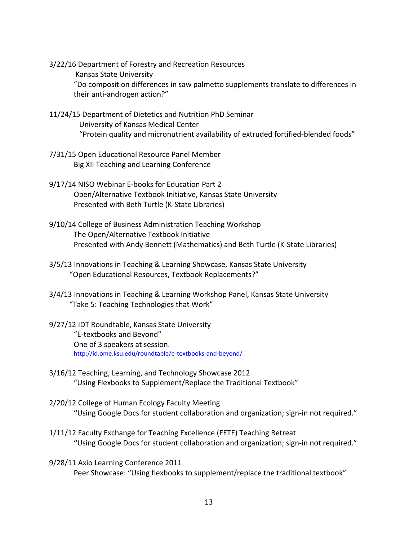3/22/16 Department of Forestry and Recreation Resources Kansas State University "Do composition differences in saw palmetto supplements translate to differences in their anti-androgen action?"

- 11/24/15 Department of Dietetics and Nutrition PhD Seminar University of Kansas Medical Center "Protein quality and micronutrient availability of extruded fortified-blended foods"
- 7/31/15 Open Educational Resource Panel Member Big XII Teaching and Learning Conference
- 9/17/14 NISO Webinar E-books for Education Part 2 Open/Alternative Textbook Initiative, Kansas State University Presented with Beth Turtle (K-State Libraries)
- 9/10/14 College of Business Administration Teaching Workshop The Open/Alternative Textbook Initiative Presented with Andy Bennett (Mathematics) and Beth Turtle (K-State Libraries)
- 3/5/13 Innovations in Teaching & Learning Showcase, Kansas State University "Open Educational Resources, Textbook Replacements?"
- 3/4/13 Innovations in Teaching & Learning Workshop Panel, Kansas State University "Take 5: Teaching Technologies that Work"
- 9/27/12 IDT Roundtable, Kansas State University "E-textbooks and Beyond" One of 3 speakers at session. <http://id.ome.ksu.edu/roundtable/e-textbooks-and-beyond/>
- 3/16/12 Teaching, Learning, and Technology Showcase 2012 "Using Flexbooks to Supplement/Replace the Traditional Textbook"
- 2/20/12 College of Human Ecology Faculty Meeting **"**Using Google Docs for student collaboration and organization; sign-in not required."
- 1/11/12 Faculty Exchange for Teaching Excellence (FETE) Teaching Retreat **"**Using Google Docs for student collaboration and organization; sign-in not required."
- 9/28/11 Axio Learning Conference 2011 Peer Showcase: "Using flexbooks to supplement/replace the traditional textbook"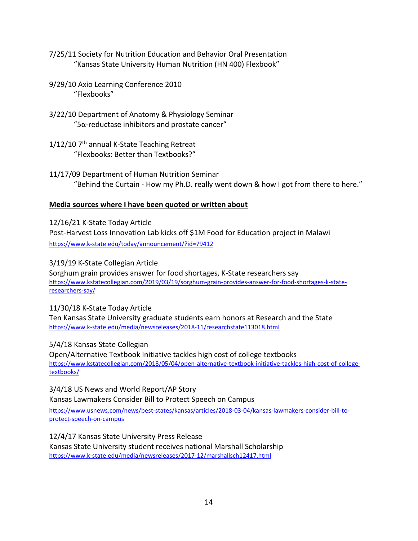- 7/25/11 Society for Nutrition Education and Behavior Oral Presentation "Kansas State University Human Nutrition (HN 400) Flexbook"
- 9/29/10 Axio Learning Conference 2010 "Flexbooks"
- 3/22/10 Department of Anatomy & Physiology Seminar " $5α$ -reductase inhibitors and prostate cancer"
- $1/12/10$  7<sup>th</sup> annual K-State Teaching Retreat "Flexbooks: Better than Textbooks?"
- 11/17/09 Department of Human Nutrition Seminar "Behind the Curtain - How my Ph.D. really went down & how I got from there to here."

## **Media sources where I have been quoted or written about**

12/16/21 K-State Today Article Post-Harvest Loss Innovation Lab kicks off \$1M Food for Education project in Malawi <https://www.k-state.edu/today/announcement/?id=79412>

## 3/19/19 K-State Collegian Article

Sorghum grain provides answer for food shortages, K-State researchers say [https://www.kstatecollegian.com/2019/03/19/sorghum-grain-provides-answer-for-food-shortages-k-state](https://www.kstatecollegian.com/2019/03/19/sorghum-grain-provides-answer-for-food-shortages-k-state-researchers-say/)[researchers-say/](https://www.kstatecollegian.com/2019/03/19/sorghum-grain-provides-answer-for-food-shortages-k-state-researchers-say/)

## 11/30/18 K-State Today Article

Ten Kansas State University graduate students earn honors at Research and the State <https://www.k-state.edu/media/newsreleases/2018-11/researchstate113018.html>

5/4/18 Kansas State Collegian

Open/Alternative Textbook Initiative tackles high cost of college textbooks [https://www.kstatecollegian.com/2018/05/04/open-alternative-textbook-initiative-tackles-high-cost-of-college](https://www.kstatecollegian.com/2018/05/04/open-alternative-textbook-initiative-tackles-high-cost-of-college-textbooks/)[textbooks/](https://www.kstatecollegian.com/2018/05/04/open-alternative-textbook-initiative-tackles-high-cost-of-college-textbooks/)

# 3/4/18 US News and World Report/AP Story

Kansas Lawmakers Consider Bill to Protect Speech on Campus

[https://www.usnews.com/news/best-states/kansas/articles/2018-03-04/kansas-lawmakers-consider-bill-to](https://www.usnews.com/news/best-states/kansas/articles/2018-03-04/kansas-lawmakers-consider-bill-to-protect-speech-on-campus)[protect-speech-on-campus](https://www.usnews.com/news/best-states/kansas/articles/2018-03-04/kansas-lawmakers-consider-bill-to-protect-speech-on-campus)

12/4/17 Kansas State University Press Release

Kansas State University student receives national Marshall Scholarship <https://www.k-state.edu/media/newsreleases/2017-12/marshallsch12417.html>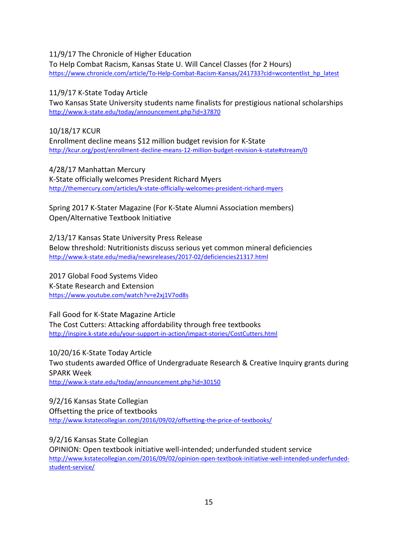## 11/9/17 The Chronicle of Higher Education

To Help Combat Racism, Kansas State U. Will Cancel Classes (for 2 Hours) [https://www.chronicle.com/article/To-Help-Combat-Racism-Kansas/241733?cid=wcontentlist\\_hp\\_latest](https://www.chronicle.com/article/To-Help-Combat-Racism-Kansas/241733?cid=wcontentlist_hp_latest)

11/9/17 K-State Today Article

Two Kansas State University students name finalists for prestigious national scholarships <http://www.k-state.edu/today/announcement.php?id=37870>

10/18/17 KCUR Enrollment decline means \$12 million budget revision for K-State <http://kcur.org/post/enrollment-decline-means-12-million-budget-revision-k-state#stream/0>

4/28/17 Manhattan Mercury K-State officially welcomes President Richard Myers <http://themercury.com/articles/k-state-officially-welcomes-president-richard-myers>

Spring 2017 K-Stater Magazine (For K-State Alumni Association members) Open/Alternative Textbook Initiative

2/13/17 Kansas State University Press Release Below threshold: Nutritionists discuss serious yet common mineral deficiencies <http://www.k-state.edu/media/newsreleases/2017-02/deficiencies21317.html>

2017 Global Food Systems Video K-State Research and Extension <https://www.youtube.com/watch?v=e2xj1V7od8s>

Fall Good for K-State Magazine Article The Cost Cutters: Attacking affordability through free textbooks <http://inspire.k-state.edu/your-support-in-action/impact-stories/CostCutters.html>

10/20/16 K-State Today Article Two students awarded Office of Undergraduate Research & Creative Inquiry grants during SPARK Week <http://www.k-state.edu/today/announcement.php?id=30150>

9/2/16 Kansas State Collegian Offsetting the price of textbooks <http://www.kstatecollegian.com/2016/09/02/offsetting-the-price-of-textbooks/>

9/2/16 Kansas State Collegian OPINION: Open textbook initiative well-intended; underfunded student service [http://www.kstatecollegian.com/2016/09/02/opinion-open-textbook-initiative-well-intended-underfunded](http://www.kstatecollegian.com/2016/09/02/opinion-open-textbook-initiative-well-intended-underfunded-student-service/)[student-service/](http://www.kstatecollegian.com/2016/09/02/opinion-open-textbook-initiative-well-intended-underfunded-student-service/)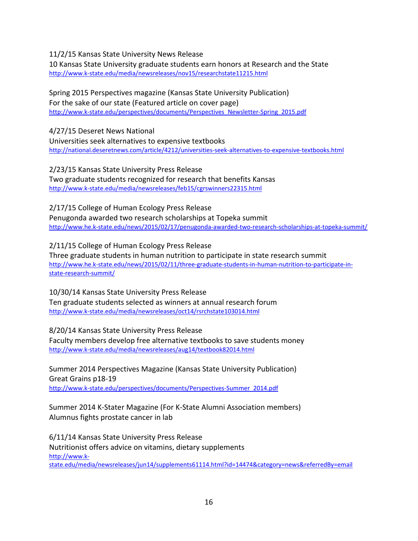## 11/2/15 Kansas State University News Release

10 Kansas State University graduate students earn honors at Research and the State <http://www.k-state.edu/media/newsreleases/nov15/researchstate11215.html>

#### Spring 2015 Perspectives magazine (Kansas State University Publication) For the sake of our state (Featured article on cover page) [http://www.k-state.edu/perspectives/documents/Perspectives\\_Newsletter-Spring\\_2015.pdf](http://www.k-state.edu/perspectives/documents/Perspectives_Newsletter-Spring_2015.pdf)

4/27/15 Deseret News National Universities seek alternatives to expensive textbooks <http://national.deseretnews.com/article/4212/universities-seek-alternatives-to-expensive-textbooks.html>

2/23/15 Kansas State University Press Release Two graduate students recognized for research that benefits Kansas <http://www.k-state.edu/media/newsreleases/feb15/cgrswinners22315.html>

2/17/15 College of Human Ecology Press Release Penugonda awarded two research scholarships at Topeka summit <http://www.he.k-state.edu/news/2015/02/17/penugonda-awarded-two-research-scholarships-at-topeka-summit/>

2/11/15 College of Human Ecology Press Release Three graduate students in human nutrition to participate in state research summit [http://www.he.k-state.edu/news/2015/02/11/three-graduate-students-in-human-nutrition-to-participate-in](http://www.he.k-state.edu/news/2015/02/11/three-graduate-students-in-human-nutrition-to-participate-in-state-research-summit/)[state-research-summit/](http://www.he.k-state.edu/news/2015/02/11/three-graduate-students-in-human-nutrition-to-participate-in-state-research-summit/)

10/30/14 Kansas State University Press Release Ten graduate students selected as winners at annual research forum <http://www.k-state.edu/media/newsreleases/oct14/rsrchstate103014.html>

8/20/14 Kansas State University Press Release Faculty members develop free alternative textbooks to save students money <http://www.k-state.edu/media/newsreleases/aug14/textbook82014.html>

Summer 2014 Perspectives Magazine (Kansas State University Publication) Great Grains p18-19 [http://www.k-state.edu/perspectives/documents/Perspectives-Summer\\_2014.pdf](http://www.k-state.edu/perspectives/documents/Perspectives-Summer_2014.pdf)

Summer 2014 K-Stater Magazine (For K-State Alumni Association members) Alumnus fights prostate cancer in lab

6/11/14 Kansas State University Press Release Nutritionist offers advice on vitamins, dietary supplements [http://www.k](http://www.k-state.edu/media/newsreleases/jun14/supplements61114.html?id=14474&category=news&referredBy=email)[state.edu/media/newsreleases/jun14/supplements61114.html?id=14474&category=news&referredBy=email](http://www.k-state.edu/media/newsreleases/jun14/supplements61114.html?id=14474&category=news&referredBy=email)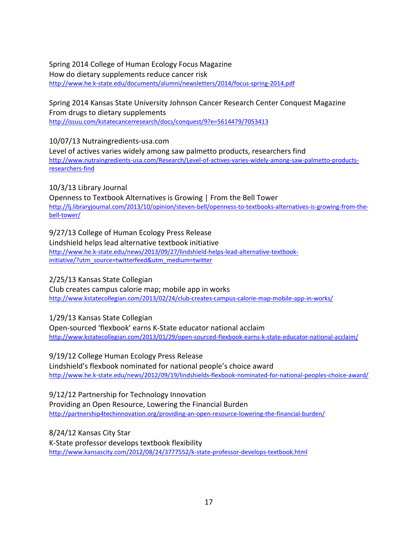Spring 2014 College of Human Ecology Focus Magazine How do dietary supplements reduce cancer risk <http://www.he.k-state.edu/documents/alumni/newsletters/2014/focus-spring-2014.pdf>

Spring 2014 Kansas State University Johnson Cancer Research Center Conquest Magazine From drugs to dietary supplements <http://issuu.com/kstatecancerresearch/docs/conquest/9?e=5614479/7053413>

10/07/13 Nutraingredients-usa.com Level of actives varies widely among saw palmetto products, researchers find [http://www.nutraingredients-usa.com/Research/Level-of-actives-varies-widely-among-saw-palmetto-products](http://www.nutraingredients-usa.com/Research/Level-of-actives-varies-widely-among-saw-palmetto-products-researchers-find)[researchers-find](http://www.nutraingredients-usa.com/Research/Level-of-actives-varies-widely-among-saw-palmetto-products-researchers-find)

10/3/13 Library Journal Openness to Textbook Alternatives is Growing | From the Bell Tower [http://lj.libraryjournal.com/2013/10/opinion/steven-bell/openness-to-textbooks-alternatives-is-growing-from-the](http://lj.libraryjournal.com/2013/10/opinion/steven-bell/openness-to-textbooks-alternatives-is-growing-from-the-bell-tower/)[bell-tower/](http://lj.libraryjournal.com/2013/10/opinion/steven-bell/openness-to-textbooks-alternatives-is-growing-from-the-bell-tower/)

9/27/13 College of Human Ecology Press Release Lindshield helps lead alternative textbook initiative [http://www.he.k-state.edu/news/2013/09/27/lindshield-helps-lead-alternative-textbook](http://www.he.k-state.edu/news/2013/09/27/lindshield-helps-lead-alternative-textbook-initiative/?utm_source=twitterfeed&utm_medium=twitter)[initiative/?utm\\_source=twitterfeed&utm\\_medium=twitter](http://www.he.k-state.edu/news/2013/09/27/lindshield-helps-lead-alternative-textbook-initiative/?utm_source=twitterfeed&utm_medium=twitter)

2/25/13 Kansas State Collegian

Club creates campus calorie map; mobile app in works <http://www.kstatecollegian.com/2013/02/24/club-creates-campus-calorie-map-mobile-app-in-works/>

1/29/13 Kansas State Collegian

Open-sourced 'flexbook' earns K-State educator national acclaim <http://www.kstatecollegian.com/2013/01/29/open-sourced-flexbook-earns-k-state-educator-national-acclaim/>

9/19/12 College Human Ecology Press Release Lindshield's flexbook nominated for national people's choice award <http://www.he.k-state.edu/news/2012/09/19/lindshields-flexbook-nominated-for-national-peoples-choice-award/>

9/12/12 Partnership for Technology Innovation Providing an Open Resource, Lowering the Financial Burden <http://partnership4techinnovation.org/providing-an-open-resource-lowering-the-financial-burden/>

8/24/12 Kansas City Star K-State professor develops textbook flexibility <http://www.kansascity.com/2012/08/24/3777552/k-state-professor-develops-textbook.html>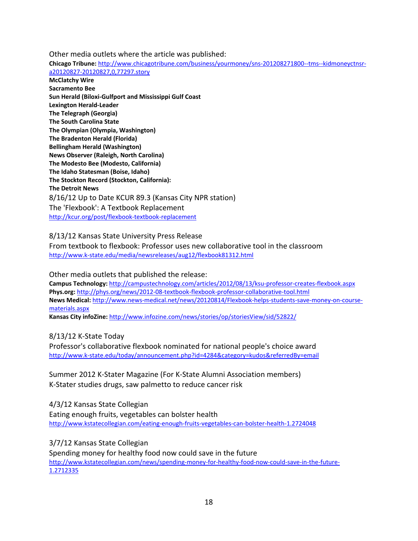Other media outlets where the article was published:

**Chicago Tribune:** [http://www.chicagotribune.com/business/yourmoney/sns-201208271800--tms--kidmoneyctnsr](http://www.chicagotribune.com/business/yourmoney/sns-201208271800--tms--kidmoneyctnsr-a20120827-20120827,0,77297.story)[a20120827-20120827,0,77297.story](http://www.chicagotribune.com/business/yourmoney/sns-201208271800--tms--kidmoneyctnsr-a20120827-20120827,0,77297.story)

**McClatchy Wire Sacramento Bee Sun Herald (Biloxi-Gulfport and Mississippi Gulf Coast Lexington Herald-Leader The Telegraph (Georgia) The South Carolina State The Olympian (Olympia, Washington) The Bradenton Herald (Florida) Bellingham Herald (Washington) News Observer (Raleigh, North Carolina) The Modesto Bee (Modesto, California) The Idaho Statesman (Boise, Idaho) The Stockton Record (Stockton, California): The Detroit News** 8/16/12 Up to Date KCUR 89.3 (Kansas City NPR station) The 'Flexbook': A Textbook Replacement <http://kcur.org/post/flexbook-textbook-replacement>

## 8/13/12 Kansas State University Press Release

From textbook to flexbook: Professor uses new collaborative tool in the classroom <http://www.k-state.edu/media/newsreleases/aug12/flexbook81312.html>

Other media outlets that published the release:

**Campus Technology:** <http://campustechnology.com/articles/2012/08/13/ksu-professor-creates-flexbook.aspx> **Phys.org:** <http://phys.org/news/2012-08-textbook-flexbook-professor-collaborative-tool.html> **News Medical:** [http://www.news-medical.net/news/20120814/Flexbook-helps-students-save-money-on-course](http://www.news-medical.net/news/20120814/Flexbook-helps-students-save-money-on-course-materials.aspx)[materials.aspx](http://www.news-medical.net/news/20120814/Flexbook-helps-students-save-money-on-course-materials.aspx)

**Kansas City infoZine:** <http://www.infozine.com/news/stories/op/storiesView/sid/52822/>

8/13/12 K-State Today

Professor's collaborative flexbook nominated for national people's choice award <http://www.k-state.edu/today/announcement.php?id=4284&category=kudos&referredBy=email>

Summer 2012 K-Stater Magazine (For K-State Alumni Association members) K-Stater studies drugs, saw palmetto to reduce cancer risk

4/3/12 Kansas State Collegian Eating enough fruits, vegetables can bolster health <http://www.kstatecollegian.com/eating-enough-fruits-vegetables-can-bolster-health-1.2724048>

3/7/12 Kansas State Collegian

Spending money for healthy food now could save in the future [http://www.kstatecollegian.com/news/spending-money-for-healthy-food-now-could-save-in-the-future-](http://www.kstatecollegian.com/news/spending-money-for-healthy-food-now-could-save-in-the-future-1.2712335)[1.2712335](http://www.kstatecollegian.com/news/spending-money-for-healthy-food-now-could-save-in-the-future-1.2712335)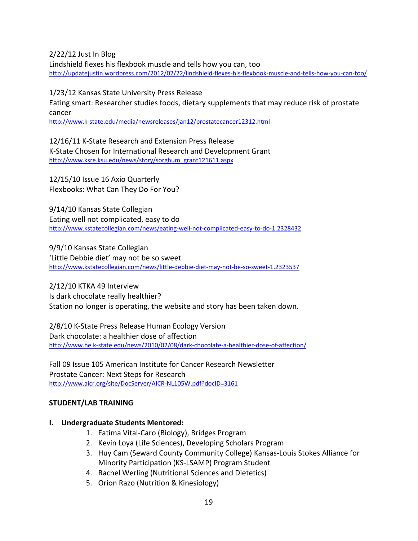2/22/12 Just In Blog

Lindshield flexes his flexbook muscle and tells how you can, too <http://updatejustin.wordpress.com/2012/02/22/lindshield-flexes-his-flexbook-muscle-and-tells-how-you-can-too/>

1/23/12 Kansas State University Press Release

Eating smart: Researcher studies foods, dietary supplements that may reduce risk of prostate cancer

<http://www.k-state.edu/media/newsreleases/jan12/prostatecancer12312.html>

12/16/11 K-State Research and Extension Press Release K-State Chosen for International Research and Development Grant [http://www.ksre.ksu.edu/news/story/sorghum\\_grant121611.aspx](http://www.ksre.ksu.edu/news/story/sorghum_grant121611.aspx)

12/15/10 Issue 16 Axio Quarterly Flexbooks: What Can They Do For You?

9/14/10 Kansas State Collegian Eating well not complicated, easy to do <http://www.kstatecollegian.com/news/eating-well-not-complicated-easy-to-do-1.2328432>

9/9/10 Kansas State Collegian 'Little Debbie diet' may not be so sweet <http://www.kstatecollegian.com/news/little-debbie-diet-may-not-be-so-sweet-1.2323537>

2/12/10 KTKA 49 Interview Is dark chocolate really healthier? Station no longer is operating, the website and story has been taken down.

2/8/10 K-State Press Release Human Ecology Version Dark chocolate: a healthier dose of affection <http://www.he.k-state.edu/news/2010/02/08/dark-chocolate-a-healthier-dose-of-affection/>

Fall 09 Issue 105 American Institute for Cancer Research Newsletter Prostate Cancer: Next Steps for Research <http://www.aicr.org/site/DocServer/AICR-NL105W.pdf?docID=3161>

## **STUDENT/LAB TRAINING**

## **I. Undergraduate Students Mentored:**

- 1. Fatima Vital-Caro (Biology), Bridges Program
- 2. Kevin Loya (Life Sciences), Developing Scholars Program
- 3. Huy Cam (Seward County Community College) Kansas-Louis Stokes Alliance for Minority Participation (KS-LSAMP) Program Student
- 4. Rachel Werling (Nutritional Sciences and Dietetics)
- 5. Orion Razo (Nutrition & Kinesiology)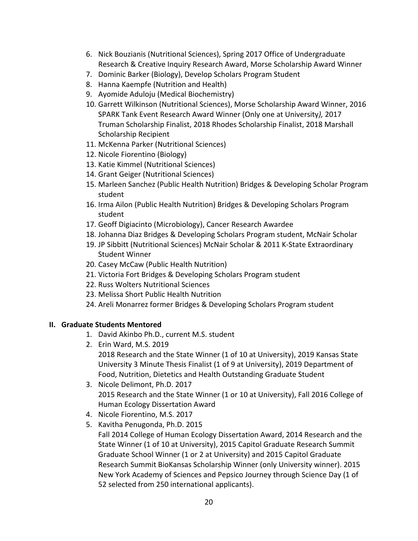- 6. Nick Bouzianis (Nutritional Sciences), Spring 2017 Office of Undergraduate Research & Creative Inquiry Research Award, Morse Scholarship Award Winner
- 7. Dominic Barker (Biology), Develop Scholars Program Student
- 8. Hanna Kaempfe (Nutrition and Health)
- 9. Ayomide Aduloju (Medical Biochemistry)
- 10. Garrett Wilkinson (Nutritional Sciences), Morse Scholarship Award Winner, 2016 SPARK Tank Event Research Award Winner (Only one at University*),* 2017 Truman Scholarship Finalist, 2018 Rhodes Scholarship Finalist, 2018 Marshall Scholarship Recipient
- 11. McKenna Parker (Nutritional Sciences)
- 12. Nicole Fiorentino (Biology)
- 13. Katie Kimmel (Nutritional Sciences)
- 14. Grant Geiger (Nutritional Sciences)
- 15. Marleen Sanchez (Public Health Nutrition) Bridges & Developing Scholar Program student
- 16. Irma Ailon (Public Health Nutrition) Bridges & Developing Scholars Program student
- 17. Geoff Digiacinto (Microbiology), Cancer Research Awardee
- 18. Johanna Diaz Bridges & Developing Scholars Program student, McNair Scholar
- 19. JP Sibbitt (Nutritional Sciences) McNair Scholar & 2011 K-State Extraordinary Student Winner
- 20. Casey McCaw (Public Health Nutrition)
- 21. Victoria Fort Bridges & Developing Scholars Program student
- 22. Russ Wolters Nutritional Sciences
- 23. Melissa Short Public Health Nutrition
- 24. Areli Monarrez former Bridges & Developing Scholars Program student

## **II. Graduate Students Mentored**

- 1. David Akinbo Ph.D., current M.S. student
- 2. Erin Ward, M.S. 2019 2018 Research and the State Winner (1 of 10 at University), 2019 Kansas State University 3 Minute Thesis Finalist (1 of 9 at University), 2019 Department of Food, Nutrition, Dietetics and Health Outstanding Graduate Student
- 3. Nicole Delimont, Ph.D. 2017 2015 Research and the State Winner (1 or 10 at University), Fall 2016 College of Human Ecology Dissertation Award
- 4. Nicole Fiorentino, M.S. 2017
- 5. Kavitha Penugonda, Ph.D. 2015 Fall 2014 College of Human Ecology Dissertation Award, 2014 Research and the State Winner (1 of 10 at University), 2015 Capitol Graduate Research Summit Graduate School Winner (1 or 2 at University) and 2015 Capitol Graduate Research Summit BioKansas Scholarship Winner (only University winner). 2015 New York Academy of Sciences and Pepsico Journey through Science Day (1 of 52 selected from 250 international applicants).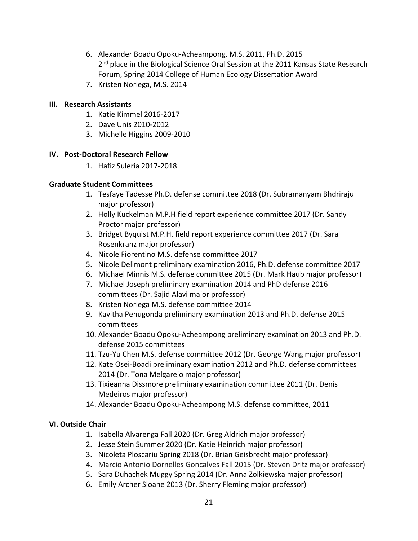- 6. Alexander Boadu Opoku-Acheampong, M.S. 2011, Ph.D. 2015 2<sup>nd</sup> place in the Biological Science Oral Session at the 2011 Kansas State Research Forum, Spring 2014 College of Human Ecology Dissertation Award
- 7. Kristen Noriega, M.S. 2014

## **III. Research Assistants**

- 1. Katie Kimmel 2016-2017
- 2. Dave Unis 2010-2012
- 3. Michelle Higgins 2009-2010

## **IV. Post-Doctoral Research Fellow**

1. Hafiz Suleria 2017-2018

## **Graduate Student Committees**

- 1. Tesfaye Tadesse Ph.D. defense committee 2018 (Dr. Subramanyam Bhdriraju major professor)
- 2. Holly Kuckelman M.P.H field report experience committee 2017 (Dr. Sandy Proctor major professor)
- 3. Bridget Byquist M.P.H. field report experience committee 2017 (Dr. Sara Rosenkranz major professor)
- 4. Nicole Fiorentino M.S. defense committee 2017
- 5. Nicole Delimont preliminary examination 2016, Ph.D. defense committee 2017
- 6. Michael Minnis M.S. defense committee 2015 (Dr. Mark Haub major professor)
- 7. Michael Joseph preliminary examination 2014 and PhD defense 2016 committees (Dr. Sajid Alavi major professor)
- 8. Kristen Noriega M.S. defense committee 2014
- 9. Kavitha Penugonda preliminary examination 2013 and Ph.D. defense 2015 committees
- 10. Alexander Boadu Opoku-Acheampong preliminary examination 2013 and Ph.D. defense 2015 committees
- 11. Tzu-Yu Chen M.S. defense committee 2012 (Dr. George Wang major professor)
- 12. Kate Osei-Boadi preliminary examination 2012 and Ph.D. defense committees 2014 (Dr. Tona Melgarejo major professor)
- 13. Tixieanna Dissmore preliminary examination committee 2011 (Dr. Denis Medeiros major professor)
- 14. Alexander Boadu Opoku-Acheampong M.S. defense committee, 2011

## **VI. Outside Chair**

- 1. Isabella Alvarenga Fall 2020 (Dr. Greg Aldrich major professor)
- 2. Jesse Stein Summer 2020 (Dr. Katie Heinrich major professor)
- 3. Nicoleta Ploscariu Spring 2018 (Dr. Brian Geisbrecht major professor)
- 4. Marcio Antonio Dornelles Goncalves Fall 2015 (Dr. Steven Dritz major professor)
- 5. Sara Duhachek Muggy Spring 2014 (Dr. Anna Zolkiewska major professor)
- 6. Emily Archer Sloane 2013 (Dr. Sherry Fleming major professor)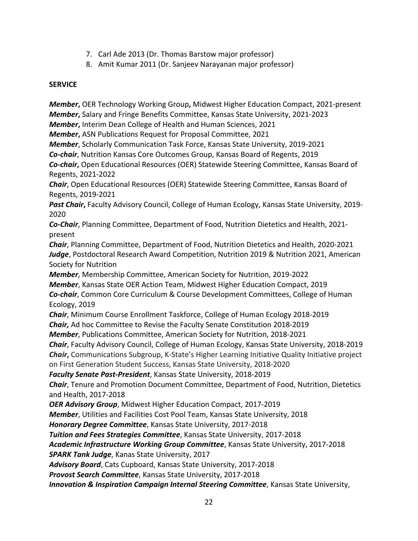- 7. Carl Ade 2013 (Dr. Thomas Barstow major professor)
- 8. Amit Kumar 2011 (Dr. Sanjeev Narayanan major professor)

## **SERVICE**

*Member***,** OER Technology Working Group**,** Midwest Higher Education Compact, 2021-present *Member***,** Salary and Fringe Benefits Committee, Kansas State University, 2021-2023

*Member***,** Interim Dean College of Health and Human Sciences, 2021

*Member***,** ASN Publications Request for Proposal Committee, 2021

*Member*, Scholarly Communication Task Force, Kansas State University, 2019-2021

*Co-chair*, Nutrition Kansas Core Outcomes Group, Kansas Board of Regents, 2019

*Co-chair***,** Open Educational Resources (OER) Statewide Steering Committee, Kansas Board of Regents, 2021-2022

*Chair*, Open Educational Resources (OER) Statewide Steering Committee, Kansas Board of Regents, 2019-2021

*Past Chair***,** Faculty Advisory Council, College of Human Ecology, Kansas State University, 2019- 2020

*Co-Chair*, Planning Committee, Department of Food, Nutrition Dietetics and Health, 2021 present

*Chair*, Planning Committee, Department of Food, Nutrition Dietetics and Health, 2020-2021 *Judge*, Postdoctoral Research Award Competition, Nutrition 2019 & Nutrition 2021, American Society for Nutrition

*Member*, Membership Committee, American Society for Nutrition, 2019-2022

*Member*, Kansas State OER Action Team, Midwest Higher Education Compact, 2019 *Co-chair*, Common Core Curriculum & Course Development Committees, College of Human Ecology, 2019

*Chair*, Minimum Course Enrollment Taskforce, College of Human Ecology 2018-2019

*Chair,* Ad hoc Committee to Revise the Faculty Senate Constitution 2018-2019

*Member*, Publications Committee, American Society for Nutrition, 2018-2021

*Chair*, Faculty Advisory Council, College of Human Ecology, Kansas State University, 2018-2019 *Chair***,** Communications Subgroup, K-State's Higher Learning Initiative Quality Initiative project

on First Generation Student Success, Kansas State University, 2018-2020

*Faculty Senate Past-President*, Kansas State University, 2018-2019

*Chair*, Tenure and Promotion Document Committee, Department of Food, Nutrition, Dietetics and Health, 2017-2018

*OER Advisory Group*, Midwest Higher Education Compact, 2017-2019

*Member*, Utilities and Facilities Cost Pool Team, Kansas State University, 2018

*Honorary Degree Committee*, Kansas State University, 2017-2018

*Tuition and Fees Strategies Committee*, Kansas State University, 2017-2018

*Academic Infrastructure Working Group Committee*, Kansas State University, 2017-2018

*SPARK Tank Judge*, Kanas State University, 2017

*Advisory Board*, Cats Cupboard, Kansas State University, 2017-2018

*Provost Search Committee*, Kansas State University, 2017-2018

*Innovation & Inspiration Campaign Internal Steering Committee*, Kansas State University,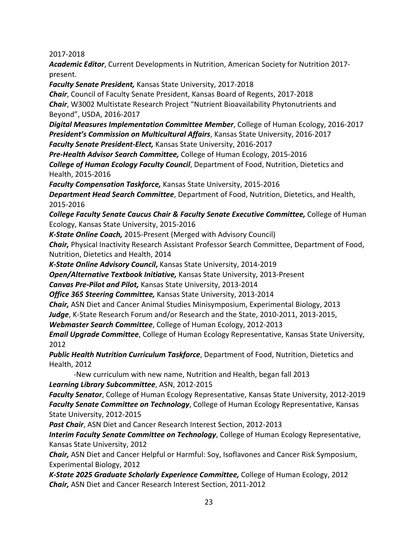2017-2018

*Academic Editor*, Current Developments in Nutrition, American Society for Nutrition 2017 present.

*Faculty Senate President,* Kansas State University, 2017-2018 *Chair*, Council of Faculty Senate President, Kansas Board of Regents, 2017-2018 *Chair*, W3002 Multistate Research Project "Nutrient Bioavailability Phytonutrients and Beyond", USDA, 2016-2017

*Digital Measures Implementation Committee Member*, College of Human Ecology, 2016-2017 *President's Commission on Multicultural Affairs*, Kansas State University, 2016-2017

*Faculty Senate President-Elect,* Kansas State University, 2016-2017

*Pre-Health Advisor Search Committee,* College of Human Ecology, 2015-2016

*College of Human Ecology Faculty Council*, Department of Food, Nutrition, Dietetics and Health, 2015-2016

*Faculty Compensation Taskforce,* Kansas State University, 2015-2016

*Department Head Search Committee*, Department of Food, Nutrition, Dietetics, and Health, 2015-2016

**College Faculty Senate Caucus Chair & Faculty Senate Executive Committee, College of Human** Ecology, Kansas State University, 2015-2016

*K-State Online Coach,* 2015-Present (Merged with Advisory Council)

*Chair,* Physical Inactivity Research Assistant Professor Search Committee, Department of Food, Nutrition, Dietetics and Health, 2014

*K-State Online Advisory Council***,** Kansas State University, 2014-2019

*Open/Alternative Textbook Initiative,* Kansas State University, 2013-Present

*Canvas Pre-Pilot and Pilot,* Kansas State University, 2013-2014

*Office 365 Steering Committee,* Kansas State University, 2013-2014

*Chair,* ASN Diet and Cancer Animal Studies Minisymposium, Experimental Biology, 2013

*Judge*, K-State Research Forum and/or Research and the State, 2010-2011, 2013-2015,

*Webmaster Search Committee*, College of Human Ecology, 2012-2013

*Email Upgrade Committee*, College of Human Ecology Representative, Kansas State University, 2012

*Public Health Nutrition Curriculum Taskforce*, Department of Food, Nutrition, Dietetics and Health, 2012

-New curriculum with new name, Nutrition and Health, began fall 2013

*Learning Library Subcommittee*, ASN, 2012-2015

*Faculty Senator*, College of Human Ecology Representative, Kansas State University, 2012-2019 *Faculty Senate Committee on Technology*, College of Human Ecology Representative, Kansas State University, 2012-2015

*Past Chair*, ASN Diet and Cancer Research Interest Section, 2012-2013

*Interim Faculty Senate Committee on Technology*, College of Human Ecology Representative, Kansas State University, 2012

*Chair,* ASN Diet and Cancer Helpful or Harmful: Soy, Isoflavones and Cancer Risk Symposium, Experimental Biology, 2012

*K-State 2025 Graduate Scholarly Experience Committee,* College of Human Ecology, 2012 *Chair,* ASN Diet and Cancer Research Interest Section, 2011-2012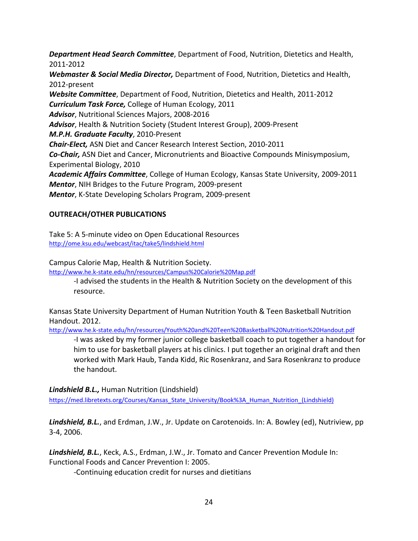*Department Head Search Committee*, Department of Food, Nutrition, Dietetics and Health, 2011-2012

*Webmaster & Social Media Director,* Department of Food, Nutrition, Dietetics and Health, 2012-present

*Website Committee*, Department of Food, Nutrition, Dietetics and Health, 2011-2012 *Curriculum Task Force,* College of Human Ecology, 2011 *Advisor*, Nutritional Sciences Majors, 2008-2016 *Advisor*, Health & Nutrition Society (Student Interest Group), 2009-Present *M.P.H. Graduate Faculty*, 2010-Present *Chair-Elect,* ASN Diet and Cancer Research Interest Section, 2010-2011 *Co-Chair,* ASN Diet and Cancer, Micronutrients and Bioactive Compounds Minisymposium, Experimental Biology, 2010 *Academic Affairs Committee*, College of Human Ecology, Kansas State University, 2009-2011 *Mentor*, NIH Bridges to the Future Program, 2009-present

*Mentor*, K-State Developing Scholars Program, 2009-present

## **OUTREACH/OTHER PUBLICATIONS**

Take 5: A 5-minute video on Open Educational Resources <http://ome.ksu.edu/webcast/itac/take5/lindshield.html>

Campus Calorie Map, Health & Nutrition Society.

<http://www.he.k-state.edu/hn/resources/Campus%20Calorie%20Map.pdf>

-I advised the students in the Health & Nutrition Society on the development of this resource.

Kansas State University Department of Human Nutrition Youth & Teen Basketball Nutrition Handout. 2012.

<http://www.he.k-state.edu/hn/resources/Youth%20and%20Teen%20Basketball%20Nutrition%20Handout.pdf>

-I was asked by my former junior college basketball coach to put together a handout for him to use for basketball players at his clinics. I put together an original draft and then worked with Mark Haub, Tanda Kidd, Ric Rosenkranz, and Sara Rosenkranz to produce the handout.

*Lindshield B.L.,* Human Nutrition (Lindshield)

https://med.libretexts.org/Courses/Kansas State\_University/Book%3A\_Human\_Nutrition\_(Lindshield)

*Lindshield, B.L.*, and Erdman, J.W., Jr. Update on Carotenoids. In: A. Bowley (ed), Nutriview, pp 3-4, 2006.

*Lindshield, B.L.*, Keck, A.S., Erdman, J.W., Jr. Tomato and Cancer Prevention Module In: Functional Foods and Cancer Prevention I: 2005.

-Continuing education credit for nurses and dietitians